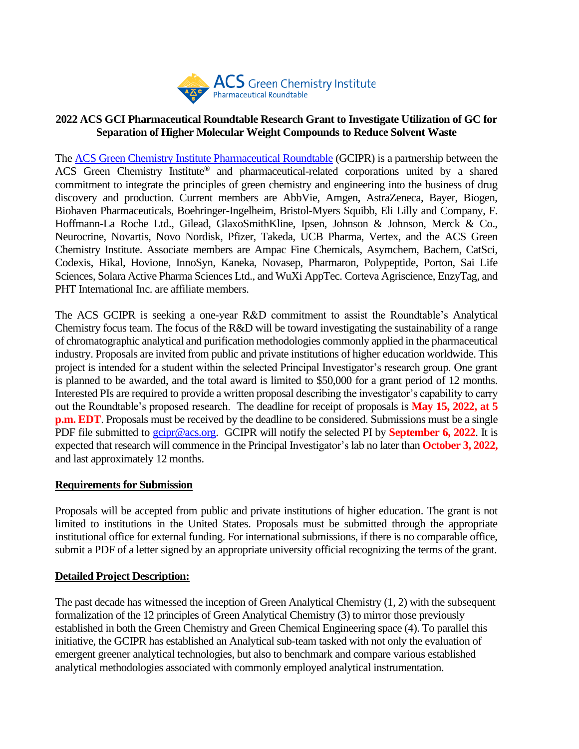

### **2022 ACS GCI Pharmaceutical Roundtable Research Grant to Investigate Utilization of GC for Separation of Higher Molecular Weight Compounds to Reduce Solvent Waste**

The [ACS Green Chemistry Institute Pharmaceutical Roundtable](https://www.acsgcipr.org/) (GCIPR) is a partnership between the ACS Green Chemistry Institute® and pharmaceutical-related corporations united by a shared commitment to integrate the principles of green chemistry and engineering into the business of drug discovery and production. Current members are AbbVie, Amgen, AstraZeneca, Bayer, Biogen, Biohaven Pharmaceuticals, Boehringer-Ingelheim, Bristol-Myers Squibb, Eli Lilly and Company, F. Hoffmann-La Roche Ltd., Gilead, GlaxoSmithKline, Ipsen, Johnson & Johnson, Merck & Co., Neurocrine, Novartis, Novo Nordisk, Pfizer, Takeda, UCB Pharma, Vertex, and the ACS Green Chemistry Institute. Associate members are Ampac Fine Chemicals, Asymchem, Bachem, CatSci, Codexis, Hikal, Hovione, InnoSyn, Kaneka, Novasep, Pharmaron, Polypeptide, Porton, Sai Life Sciences, Solara Active Pharma Sciences Ltd., and WuXi AppTec. Corteva Agriscience, EnzyTag, and PHT International Inc. are affiliate members.

The ACS GCIPR is seeking a one-year R&D commitment to assist the Roundtable's Analytical Chemistry focus team. The focus of the R&D will be toward investigating the sustainability of a range of chromatographic analytical and purification methodologies commonly applied in the pharmaceutical industry. Proposals are invited from public and private institutions of higher education worldwide. This project is intended for a student within the selected Principal Investigator's research group. One grant is planned to be awarded, and the total award is limited to \$50,000 for a grant period of 12 months. Interested PIs are required to provide a written proposal describing the investigator's capability to carry out the Roundtable's proposed research. The deadline for receipt of proposals is **May 15, 2022, at 5 p.m. EDT**. Proposals must be received by the deadline to be considered. Submissions must be a single PDF file submitted to [gcipr@acs.org.](mailto:gcipr@acs.org) GCIPR will notify the selected PI by **September 6, 2022**. It is expected that research will commence in the Principal Investigator's lab no later than **October 3, 2022,** and last approximately 12 months.

#### **Requirements for Submission**

Proposals will be accepted from public and private institutions of higher education. The grant is not limited to institutions in the United States. Proposals must be submitted through the appropriate institutional office for external funding. For international submissions, if there is no comparable office, submit a PDF of a letter signed by an appropriate university official recognizing the terms of the grant.

## **Detailed Project Description:**

The past decade has witnessed the inception of Green Analytical Chemistry (1, 2) with the subsequent formalization of the 12 principles of Green Analytical Chemistry (3) to mirror those previously established in both the Green Chemistry and Green Chemical Engineering space (4). To parallel this initiative, the GCIPR has established an Analytical sub-team tasked with not only the evaluation of emergent greener analytical technologies, but also to benchmark and compare various established analytical methodologies associated with commonly employed analytical instrumentation.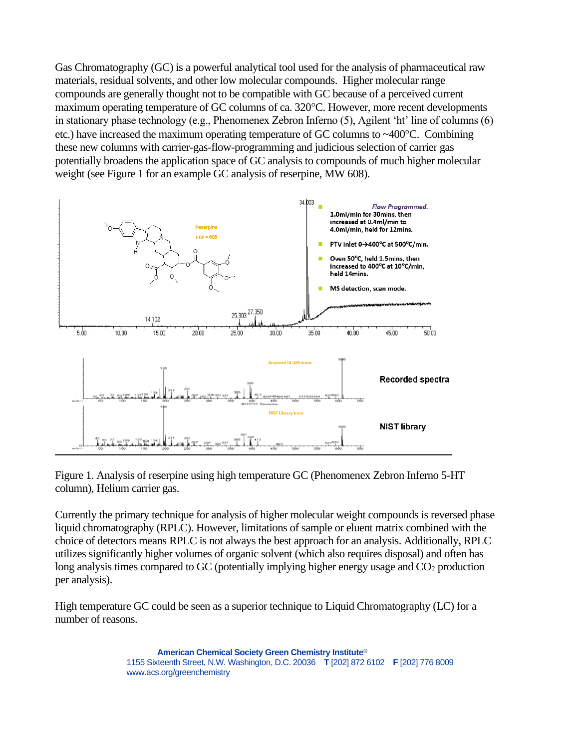Gas Chromatography (GC) is a powerful analytical tool used for the analysis of pharmaceutical raw materials, residual solvents, and other low molecular compounds. Higher molecular range compounds are generally thought not to be compatible with GC because of a perceived current maximum operating temperature of GC columns of ca. 320°C. However, more recent developments in stationary phase technology (e.g., Phenomenex Zebron Inferno (5), Agilent 'ht' line of columns (6) etc.) have increased the maximum operating temperature of GC columns to  $\sim$ 400 $^{\circ}$ C. Combining these new columns with carrier-gas-flow-programming and judicious selection of carrier gas potentially broadens the application space of GC analysis to compounds of much higher molecular weight (see Figure 1 for an example GC analysis of reserpine, MW 608).



Figure 1. Analysis of reserpine using high temperature GC (Phenomenex Zebron Inferno 5-HT column), Helium carrier gas.

Currently the primary technique for analysis of higher molecular weight compounds is reversed phase liquid chromatography (RPLC). However, limitations of sample or eluent matrix combined with the choice of detectors means RPLC is not always the best approach for an analysis. Additionally, RPLC utilizes significantly higher volumes of organic solvent (which also requires disposal) and often has long analysis times compared to GC (potentially implying higher energy usage and CO<sub>2</sub> production per analysis).

High temperature GC could be seen as a superior technique to Liquid Chromatography (LC) for a number of reasons.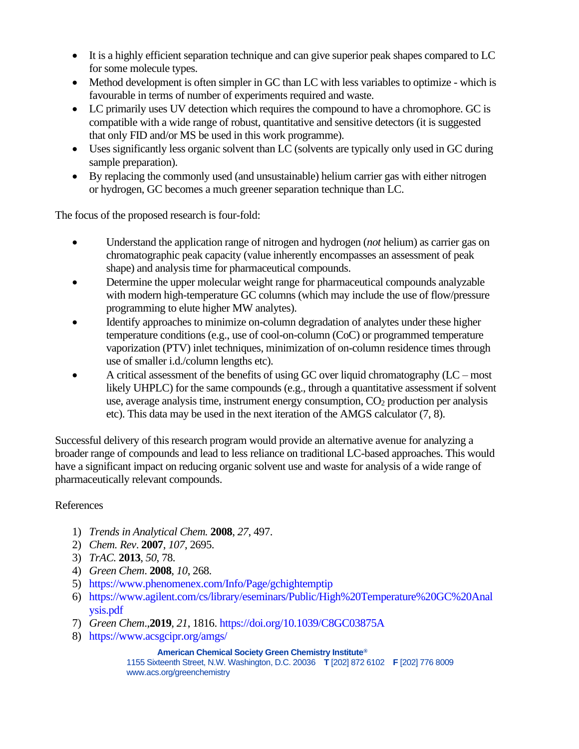- It is a highly efficient separation technique and can give superior peak shapes compared to LC for some molecule types.
- Method development is often simpler in GC than LC with less variables to optimize which is favourable in terms of number of experiments required and waste.
- LC primarily uses UV detection which requires the compound to have a chromophore. GC is compatible with a wide range of robust, quantitative and sensitive detectors (it is suggested that only FID and/or MS be used in this work programme).
- Uses significantly less organic solvent than LC (solvents are typically only used in GC during sample preparation).
- By replacing the commonly used (and unsustainable) helium carrier gas with either nitrogen or hydrogen, GC becomes a much greener separation technique than LC.

The focus of the proposed research is four-fold:

- Understand the application range of nitrogen and hydrogen (*not* helium) as carrier gas on chromatographic peak capacity (value inherently encompasses an assessment of peak shape) and analysis time for pharmaceutical compounds.
- Determine the upper molecular weight range for pharmaceutical compounds analyzable with modern high-temperature GC columns (which may include the use of flow/pressure programming to elute higher MW analytes).
- Identify approaches to minimize on-column degradation of analytes under these higher temperature conditions (e.g., use of cool-on-column (CoC) or programmed temperature vaporization (PTV) inlet techniques, minimization of on-column residence times through use of smaller i.d./column lengths etc).
- A critical assessment of the benefits of using GC over liquid chromatography (LC most likely UHPLC) for the same compounds (e.g., through a quantitative assessment if solvent use, average analysis time, instrument energy consumption,  $CO<sub>2</sub>$  production per analysis etc). This data may be used in the next iteration of the AMGS calculator (7, 8).

Successful delivery of this research program would provide an alternative avenue for analyzing a broader range of compounds and lead to less reliance on traditional LC-based approaches. This would have a significant impact on reducing organic solvent use and waste for analysis of a wide range of pharmaceutically relevant compounds.

## References

- 1) *Trends in Analytical Chem.* **2008**, *27*, 497.
- 2) *Chem. Rev*. **2007**, *107*, 2695.
- 3) *TrAC.* **2013**, *50*, 78.
- 4) *Green Chem*. **2008**, *10*, 268.
- 5) <https://www.phenomenex.com/Info/Page/gchightemptip>
- 6) [https://www.agilent.com/cs/library/eseminars/Public/High%20Temperature%20GC%20Anal](https://www.agilent.com/cs/library/eseminars/Public/High%20Temperature%20GC%20Analysis.pdf) [ysis.pdf](https://www.agilent.com/cs/library/eseminars/Public/High%20Temperature%20GC%20Analysis.pdf)
- 7) *Green Chem*.,**2019**, *21*, 1816.<https://doi.org/10.1039/C8GC03875A>
- 8) <https://www.acsgcipr.org/amgs/>

#### **American Chemical Society Green Chemistry Institute®**

1155 Sixteenth Street, N.W. Washington, D.C. 20036 **T** [202] 872 6102 **F** [202] 776 8009 www.acs.org/greenchemistry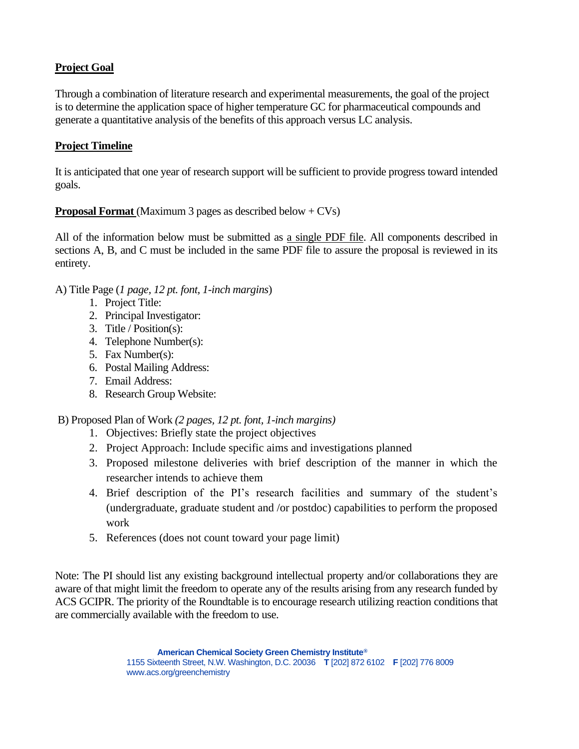## **Project Goal**

Through a combination of literature research and experimental measurements, the goal of the project is to determine the application space of higher temperature GC for pharmaceutical compounds and generate a quantitative analysis of the benefits of this approach versus LC analysis.

### **Project Timeline**

It is anticipated that one year of research support will be sufficient to provide progress toward intended goals.

**Proposal Format** (Maximum 3 pages as described below + CVs)

All of the information below must be submitted as a single PDF file. All components described in sections A, B, and C must be included in the same PDF file to assure the proposal is reviewed in its entirety.

A) Title Page (*1 page, 12 pt. font, 1-inch margins*)

- 1. Project Title:
- 2. Principal Investigator:
- 3. Title / Position(s):
- 4. Telephone Number(s):
- 5. Fax Number(s):
- 6. Postal Mailing Address:
- 7. Email Address:
- 8. Research Group Website:

B) Proposed Plan of Work *(2 pages, 12 pt. font, 1-inch margins)*

- 1. Objectives: Briefly state the project objectives
- 2. Project Approach: Include specific aims and investigations planned
- 3. Proposed milestone deliveries with brief description of the manner in which the researcher intends to achieve them
- 4. Brief description of the PI's research facilities and summary of the student's (undergraduate, graduate student and /or postdoc) capabilities to perform the proposed work
- 5. References (does not count toward your page limit)

Note: The PI should list any existing background intellectual property and/or collaborations they are aware of that might limit the freedom to operate any of the results arising from any research funded by ACS GCIPR. The priority of the Roundtable is to encourage research utilizing reaction conditions that are commercially available with the freedom to use.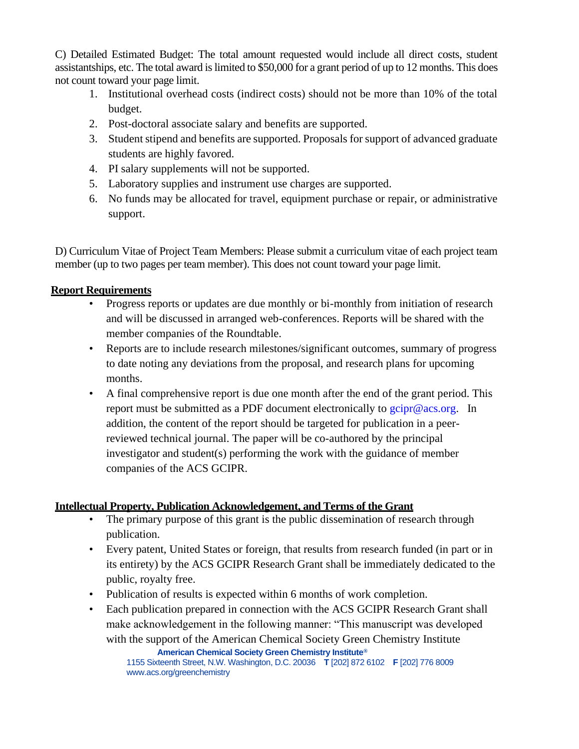C) Detailed Estimated Budget: The total amount requested would include all direct costs, student assistantships, etc. The total award is limited to \$50,000 for a grant period of up to 12 months. This does not count toward your page limit.

- 1. Institutional overhead costs (indirect costs) should not be more than 10% of the total budget.
- 2. Post-doctoral associate salary and benefits are supported.
- 3. Student stipend and benefits are supported. Proposals for support of advanced graduate students are highly favored.
- 4. PI salary supplements will not be supported.
- 5. Laboratory supplies and instrument use charges are supported.
- 6. No funds may be allocated for travel, equipment purchase or repair, or administrative support.

D) Curriculum Vitae of Project Team Members: Please submit a curriculum vitae of each project team member (up to two pages per team member). This does not count toward your page limit.

# **Report Requirements**

- Progress reports or updates are due monthly or bi-monthly from initiation of research and will be discussed in arranged web-conferences. Reports will be shared with the member companies of the Roundtable.
- Reports are to include research milestones/significant outcomes, summary of progress to date noting any deviations from the proposal, and research plans for upcoming months.
- A final comprehensive report is due one month after the end of the grant period. This report must be submitted as a PDF document electronically to  $g$ cipr@acs.org. In addition, the content of the report should be targeted for publication in a peerreviewed technical journal. The paper will be co-authored by the principal investigator and student(s) performing the work with the guidance of member companies of the ACS GCIPR.

# **Intellectual Property, Publication Acknowledgement, and Terms of the Grant**

- The primary purpose of this grant is the public dissemination of research through publication.
- Every patent, United States or foreign, that results from research funded (in part or in its entirety) by the ACS GCIPR Research Grant shall be immediately dedicated to the public, royalty free.
- Publication of results is expected within 6 months of work completion.
- **American Chemical Society Green Chemistry Institute®** Each publication prepared in connection with the ACS GCIPR Research Grant shall make acknowledgement in the following manner: "This manuscript was developed with the support of the American Chemical Society Green Chemistry Institute

1155 Sixteenth Street, N.W. Washington, D.C. 20036 **T** [202] 872 6102 **F** [202] 776 8009 www.acs.org/greenchemistry